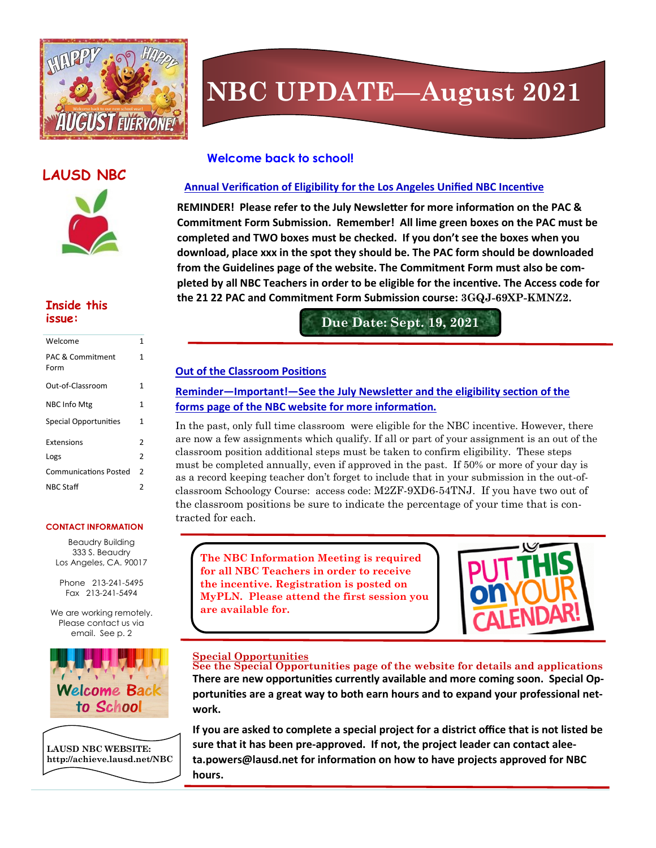

## **NBC UPDATE—August 2021**

## **LAUSD NBC**



## **Inside this**

| Welcome                             | 1              |
|-------------------------------------|----------------|
| <b>PAC &amp; Commitment</b><br>Form | 1              |
| Out-of-Classroom                    | 1              |
| <b>NBC Info Mtg</b>                 | 1              |
| <b>Special Opportunities</b>        | 1              |
| Extensions                          | 2              |
| Logs                                | $\overline{2}$ |
| <b>Communications Posted</b>        | $\overline{2}$ |
| <b>NBC Staff</b>                    | 2              |

#### **CONTACT INFORMATION**

Beaudry Building 333 S. Beaudry Los Angeles, CA. 90017

Phone 213-241-5495 Fax 213-241-5494

We are working remotely. Please contact us via email. See p. 2





#### **Welcome back to school!**

#### **Annual Verification of Eligibility for the Los Angeles Unified NBC Incentive**

**REMINDER! Please refer to the July Newsletter for more information on the PAC & Commitment Form Submission. Remember! All lime green boxes on the PAC must be completed and TWO boxes must be checked. If you don't see the boxes when you download, place xxx in the spot they should be. The PAC form should be downloaded from the Guidelines page of the website. The Commitment Form must also be completed by all NBC Teachers in order to be eligible for the incentive. The Access code for the 21 22 PAC and Commitment Form Submission course: 3GQJ-69XP-KMNZ2.** 

**issue: Due Date: Sept. 19, 2021**

#### **Out of the Classroom Positions**

#### **Reminder—Important!—See the July Newsletter and the eligibility section of the forms page of the NBC website for more information.**

In the past, only full time classroom were eligible for the NBC incentive. However, there are now a few assignments which qualify. If all or part of your assignment is an out of the classroom position additional steps must be taken to confirm eligibility. These steps must be completed annually, even if approved in the past. If 50% or more of your day is as a record keeping teacher don't forget to include that in your submission in the out-ofclassroom Schoology Course: access code: M2ZF-9XD6-54TNJ. If you have two out of the classroom positions be sure to indicate the percentage of your time that is contracted for each.

**The NBC Information Meeting is required for all NBC Teachers in order to receive the incentive. Registration is posted on MyPLN. Please attend the first session you are available for.**



#### **Special Opportunities**

**See the Special Opportunities page of the website for details and applications There are new opportunities currently available and more coming soon. Special Opportunities are a great way to both earn hours and to expand your professional network.** 

**If you are asked to complete a special project for a district office that is not listed be sure that it has been pre-approved. If not, the project leader can contact aleeta.powers@lausd.net for information on how to have projects approved for NBC hours.**